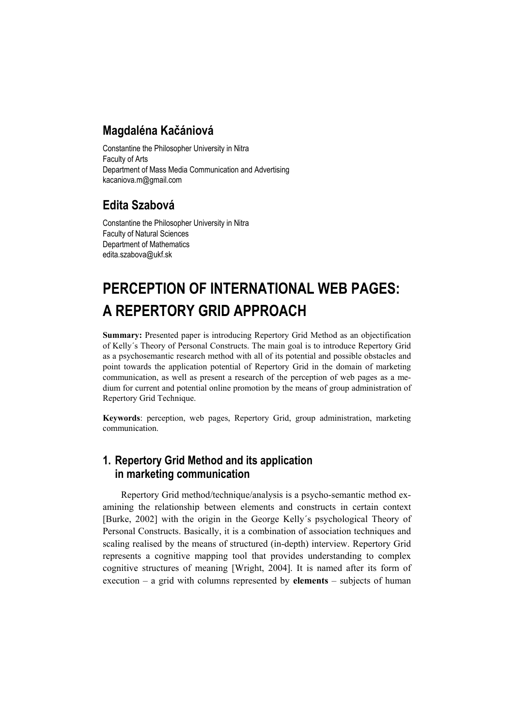# **Magdaléna Kačániová**

Constantine the Philosopher University in Nitra Faculty of Arts Department of Mass Media Communication and Advertising kacaniova.m@gmail.com

# **Edita Szabová**

Constantine the Philosopher University in Nitra Faculty of Natural Sciences Department of Mathematics edita.szabova@ukf.sk

# **PERCEPTION OF INTERNATIONAL WEB PAGES: A REPERTORY GRID APPROACH**

**Summary:** Presented paper is introducing Repertory Grid Method as an objectification of Kelly´s Theory of Personal Constructs. The main goal is to introduce Repertory Grid as a psychosemantic research method with all of its potential and possible obstacles and point towards the application potential of Repertory Grid in the domain of marketing communication, as well as present a research of the perception of web pages as a medium for current and potential online promotion by the means of group administration of Repertory Grid Technique.

**Keywords**: perception, web pages, Repertory Grid, group administration, marketing communication.

# **1. Repertory Grid Method and its application in marketing communication**

Repertory Grid method/technique/analysis is a psycho-semantic method examining the relationship between elements and constructs in certain context [Burke, 2002] with the origin in the George Kelly´s psychological Theory of Personal Constructs. Basically, it is a combination of association techniques and scaling realised by the means of structured (in-depth) interview. Repertory Grid represents a cognitive mapping tool that provides understanding to complex cognitive structures of meaning [Wright, 2004]. It is named after its form of execution – a grid with columns represented by **elements** – subjects of human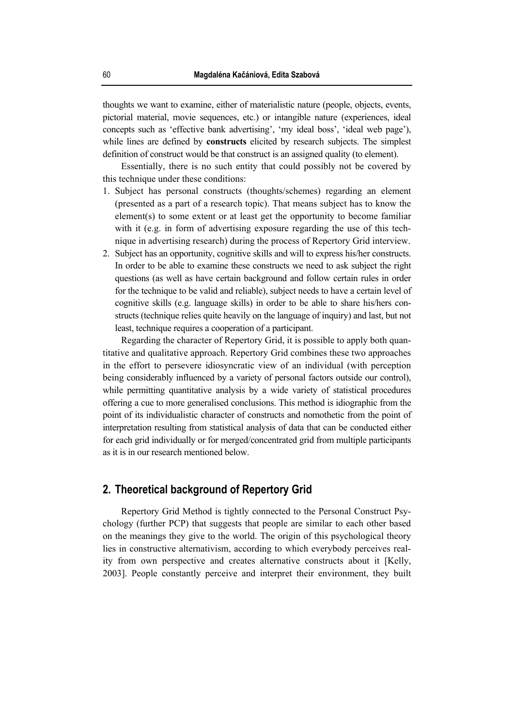thoughts we want to examine, either of materialistic nature (people, objects, events, pictorial material, movie sequences, etc.) or intangible nature (experiences, ideal concepts such as 'effective bank advertising', 'my ideal boss', 'ideal web page'), while lines are defined by **constructs** elicited by research subjects. The simplest definition of construct would be that construct is an assigned quality (to element).

Essentially, there is no such entity that could possibly not be covered by this technique under these conditions:

- 1. Subject has personal constructs (thoughts/schemes) regarding an element (presented as a part of a research topic). That means subject has to know the element(s) to some extent or at least get the opportunity to become familiar with it (e.g. in form of advertising exposure regarding the use of this technique in advertising research) during the process of Repertory Grid interview.
- 2. Subject has an opportunity, cognitive skills and will to express his/her constructs. In order to be able to examine these constructs we need to ask subject the right questions (as well as have certain background and follow certain rules in order for the technique to be valid and reliable), subject needs to have a certain level of cognitive skills (e.g. language skills) in order to be able to share his/hers constructs (technique relies quite heavily on the language of inquiry) and last, but not least, technique requires a cooperation of a participant.

Regarding the character of Repertory Grid, it is possible to apply both quantitative and qualitative approach. Repertory Grid combines these two approaches in the effort to persevere idiosyncratic view of an individual (with perception being considerably influenced by a variety of personal factors outside our control), while permitting quantitative analysis by a wide variety of statistical procedures offering a cue to more generalised conclusions. This method is idiographic from the point of its individualistic character of constructs and nomothetic from the point of interpretation resulting from statistical analysis of data that can be conducted either for each grid individually or for merged/concentrated grid from multiple participants as it is in our research mentioned below.

## **2. Theoretical background of Repertory Grid**

Repertory Grid Method is tightly connected to the Personal Construct Psychology (further PCP) that suggests that people are similar to each other based on the meanings they give to the world. The origin of this psychological theory lies in constructive alternativism, according to which everybody perceives reality from own perspective and creates alternative constructs about it [Kelly, 2003]. People constantly perceive and interpret their environment, they built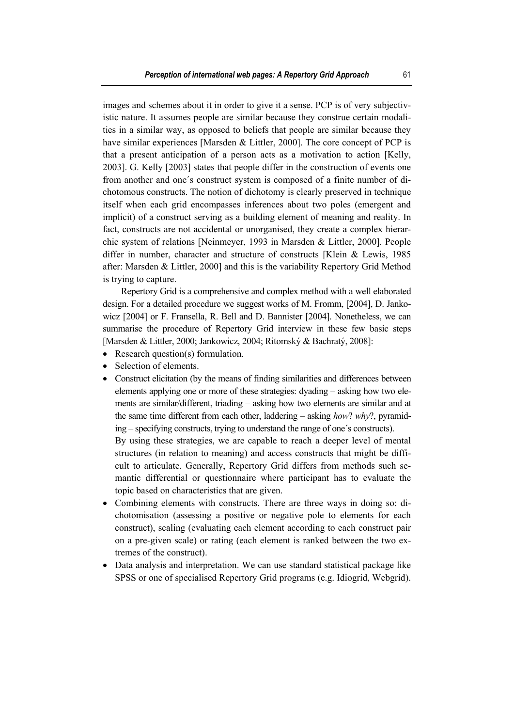images and schemes about it in order to give it a sense. PCP is of very subjectivistic nature. It assumes people are similar because they construe certain modalities in a similar way, as opposed to beliefs that people are similar because they have similar experiences [Marsden & Littler, 2000]. The core concept of PCP is that a present anticipation of a person acts as a motivation to action [Kelly, 2003]. G. Kelly [2003] states that people differ in the construction of events one from another and one´s construct system is composed of a finite number of dichotomous constructs. The notion of dichotomy is clearly preserved in technique itself when each grid encompasses inferences about two poles (emergent and implicit) of a construct serving as a building element of meaning and reality. In fact, constructs are not accidental or unorganised, they create a complex hierarchic system of relations [Neinmeyer, 1993 in Marsden & Littler, 2000]. People differ in number, character and structure of constructs [Klein & Lewis, 1985 after: Marsden & Littler, 2000] and this is the variability Repertory Grid Method is trying to capture.

Repertory Grid is a comprehensive and complex method with a well elaborated design. For a detailed procedure we suggest works of M. Fromm, [2004], D. Jankowicz [2004] or F. Fransella, R. Bell and D. Bannister [2004]. Nonetheless, we can summarise the procedure of Repertory Grid interview in these few basic steps [Marsden & Littler, 2000; Jankowicz, 2004; Ritomský & Bachratý, 2008]:

- Research question(s) formulation.
- Selection of elements.
- Construct elicitation (by the means of finding similarities and differences between elements applying one or more of these strategies: dyading – asking how two elements are similar/different, triading – asking how two elements are similar and at the same time different from each other, laddering – asking *how*? *why*?, pyramiding – specifying constructs, trying to understand the range of one´s constructs).

By using these strategies, we are capable to reach a deeper level of mental structures (in relation to meaning) and access constructs that might be difficult to articulate. Generally, Repertory Grid differs from methods such semantic differential or questionnaire where participant has to evaluate the topic based on characteristics that are given.

- Combining elements with constructs. There are three ways in doing so: dichotomisation (assessing a positive or negative pole to elements for each construct), scaling (evaluating each element according to each construct pair on a pre-given scale) or rating (each element is ranked between the two extremes of the construct).
- Data analysis and interpretation. We can use standard statistical package like SPSS or one of specialised Repertory Grid programs (e.g. Idiogrid, Webgrid).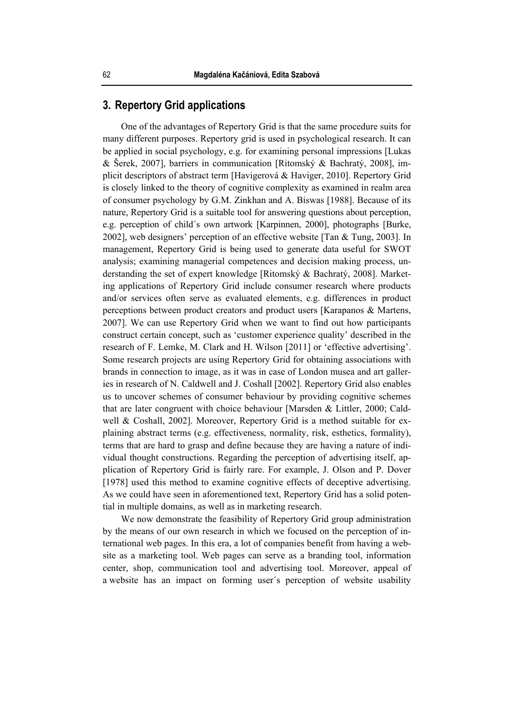## **3. Repertory Grid applications**

One of the advantages of Repertory Grid is that the same procedure suits for many different purposes. Repertory grid is used in psychological research. It can be applied in social psychology, e.g. for examining personal impressions [Lukas & Šerek, 2007], barriers in communication [Ritomský & Bachratý, 2008], implicit descriptors of abstract term [Havigerová & Haviger, 2010]. Repertory Grid is closely linked to the theory of cognitive complexity as examined in realm area of consumer psychology by G.M. Zinkhan and A. Biswas [1988]. Because of its nature, Repertory Grid is a suitable tool for answering questions about perception, e.g. perception of child´s own artwork [Karpinnen, 2000], photographs [Burke, 2002], web designers' perception of an effective website [Tan & Tung, 2003]. In management, Repertory Grid is being used to generate data useful for SWOT analysis; examining managerial competences and decision making process, understanding the set of expert knowledge [Ritomský & Bachratý, 2008]. Marketing applications of Repertory Grid include consumer research where products and/or services often serve as evaluated elements, e.g. differences in product perceptions between product creators and product users [Karapanos & Martens, 2007]. We can use Repertory Grid when we want to find out how participants construct certain concept, such as 'customer experience quality' described in the research of F. Lemke, M. Clark and H. Wilson [2011] or 'effective advertising'. Some research projects are using Repertory Grid for obtaining associations with brands in connection to image, as it was in case of London musea and art galleries in research of N. Caldwell and J. Coshall [2002]. Repertory Grid also enables us to uncover schemes of consumer behaviour by providing cognitive schemes that are later congruent with choice behaviour [Marsden & Littler, 2000; Caldwell & Coshall, 2002]. Moreover, Repertory Grid is a method suitable for explaining abstract terms (e.g. effectiveness, normality, risk, esthetics, formality), terms that are hard to grasp and define because they are having a nature of individual thought constructions. Regarding the perception of advertising itself, application of Repertory Grid is fairly rare. For example, J. Olson and P. Dover [1978] used this method to examine cognitive effects of deceptive advertising. As we could have seen in aforementioned text, Repertory Grid has a solid potential in multiple domains, as well as in marketing research.

We now demonstrate the feasibility of Repertory Grid group administration by the means of our own research in which we focused on the perception of international web pages. In this era, a lot of companies benefit from having a website as a marketing tool. Web pages can serve as a branding tool, information center, shop, communication tool and advertising tool. Moreover, appeal of a website has an impact on forming user´s perception of website usability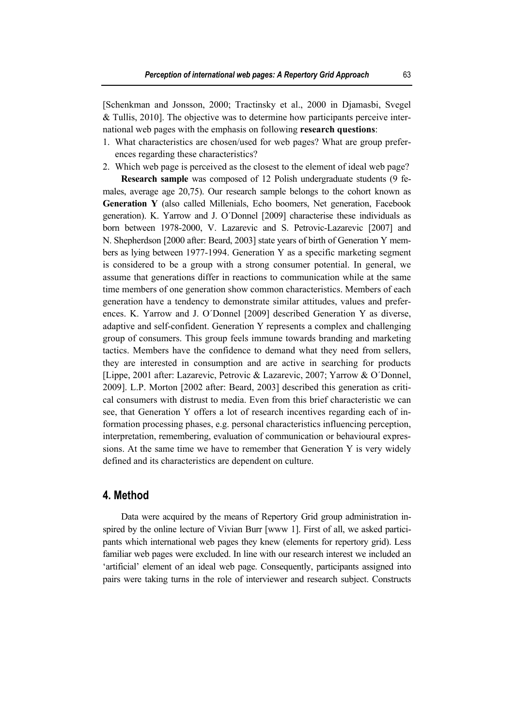[Schenkman and Jonsson, 2000; Tractinsky et al., 2000 in Djamasbi, Svegel & Tullis, 2010]. The objective was to determine how participants perceive international web pages with the emphasis on following **research questions**:

- 1. What characteristics are chosen/used for web pages? What are group preferences regarding these characteristics?
- 2. Which web page is perceived as the closest to the element of ideal web page? **Research sample** was composed of 12 Polish undergraduate students (9 females, average age 20,75). Our research sample belongs to the cohort known as **Generation Y** (also called Millenials, Echo boomers, Net generation, Facebook generation). K. Yarrow and J. O´Donnel [2009] characterise these individuals as born between 1978-2000, V. Lazarevic and S. Petrovic-Lazarevic [2007] and N. Shepherdson [2000 after: Beard, 2003] state years of birth of Generation Y members as lying between 1977-1994. Generation Y as a specific marketing segment is considered to be a group with a strong consumer potential. In general, we assume that generations differ in reactions to communication while at the same time members of one generation show common characteristics. Members of each generation have a tendency to demonstrate similar attitudes, values and preferences. K. Yarrow and J. O´Donnel [2009] described Generation Y as diverse, adaptive and self-confident. Generation Y represents a complex and challenging group of consumers. This group feels immune towards branding and marketing tactics. Members have the confidence to demand what they need from sellers, they are interested in consumption and are active in searching for products [Lippe, 2001 after: Lazarevic, Petrovic & Lazarevic, 2007; Yarrow & O´Donnel, 2009]. L.P. Morton [2002 after: Beard, 2003] described this generation as critical consumers with distrust to media. Even from this brief characteristic we can see, that Generation Y offers a lot of research incentives regarding each of information processing phases, e.g. personal characteristics influencing perception, interpretation, remembering, evaluation of communication or behavioural expressions. At the same time we have to remember that Generation Y is very widely defined and its characteristics are dependent on culture.

#### **4. Method**

Data were acquired by the means of Repertory Grid group administration inspired by the online lecture of Vivian Burr [www 1]. First of all, we asked participants which international web pages they knew (elements for repertory grid). Less familiar web pages were excluded. In line with our research interest we included an 'artificial' element of an ideal web page. Consequently, participants assigned into pairs were taking turns in the role of interviewer and research subject. Constructs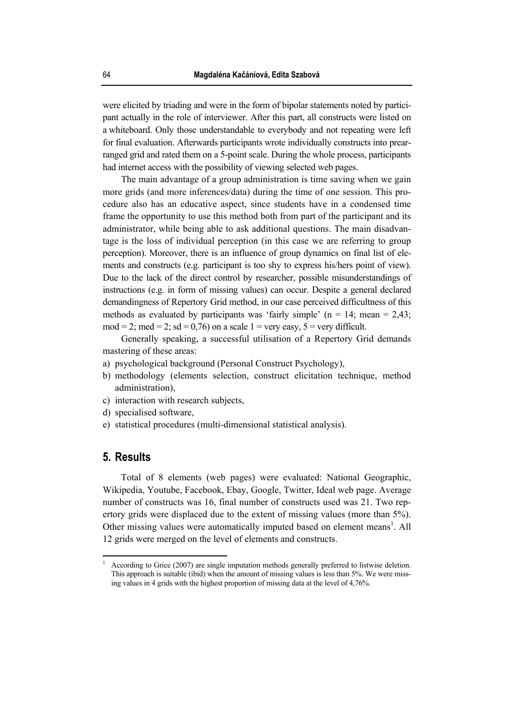were elicited by triading and were in the form of bipolar statements noted by participant actually in the role of interviewer. After this part, all constructs were listed on a whiteboard. Only those understandable to everybody and not repeating were left for final evaluation. Afterwards participants wrote individually constructs into prearranged grid and rated them on a 5-point scale. During the whole process, participants had internet access with the possibility of viewing selected web pages.

The main advantage of a group administration is time saving when we gain more grids (and more inferences/data) during the time of one session. This procedure also has an educative aspect, since students have in a condensed time frame the opportunity to use this method both from part of the participant and its administrator, while being able to ask additional questions. The main disadvantage is the loss of individual perception (in this case we are referring to group perception). Moreover, there is an influence of group dynamics on final list of elements and constructs (e.g. participant is too shy to express his/hers point of view). Due to the lack of the direct control by researcher, possible misunderstandings of instructions (e.g. in form of missing values) can occur. Despite a general declared demandingness of Repertory Grid method, in our case perceived difficultness of this methods as evaluated by participants was 'fairly simple'  $(n = 14; \text{ mean} = 2.43;$  $mod = 2$ ;  $med = 2$ ;  $sd = 0.76$  on a scale  $1 =$  very easy,  $5 =$  very difficult.

Generally speaking, a successful utilisation of a Repertory Grid demands mastering of these areas:

- a) psychological background (Personal Construct Psychology),
- b) methodology (elements selection, construct elicitation technique, method administration),
- c) interaction with research subjects,
- d) specialised software,
- e) statistical procedures (multi-dimensional statistical analysis).

#### **5. Results**

 $\overline{a}$ 

Total of 8 elements (web pages) were evaluated: National Geographic, Wikipedia, Youtube, Facebook, Ebay, Google, Twitter, Ideal web page. Average number of constructs was 16, final number of constructs used was 21. Two repertory grids were displaced due to the extent of missing values (more than 5%). Other missing values were automatically imputed based on element means<sup>1</sup>. All 12 grids were merged on the level of elements and constructs.

<sup>1</sup> According to Grice (2007) are single imputation methods generally preferred to listwise deletion. This approach is suitable (ibid) when the amount of missing values is less than 5%. We were missing values in 4 grids with the highest proportion of missing data at the level of 4,76%.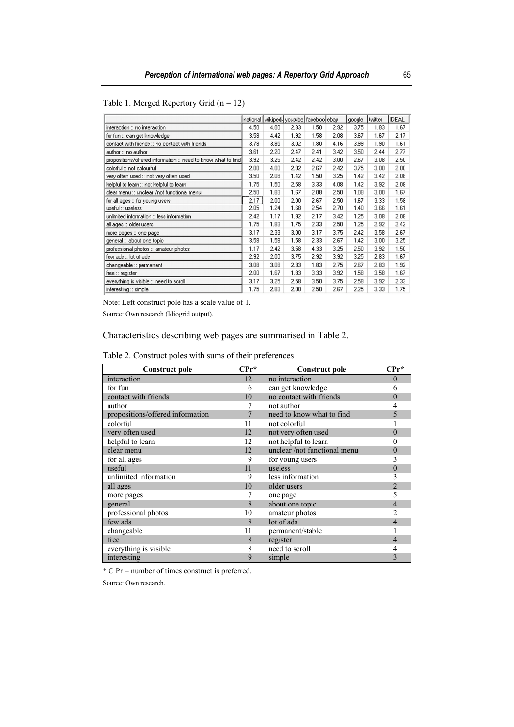|                                                               |      | national wikipedi youtube faceboo ebay |      |      |      | google | twitter | <b>IDEAL</b> |
|---------------------------------------------------------------|------|----------------------------------------|------|------|------|--------|---------|--------------|
| interaction :: no interaction                                 | 4.50 | 4.00                                   | 2.33 | 1.50 | 2.92 | 3.75   | 1.83    | 1.67         |
| for fun :: can get knowledge                                  | 3.58 | 4.42                                   | 1.92 | 1.58 | 2.08 | 3.67   | 1.67    | 2.17         |
| contact with friends :: no contact with friends.              | 3.78 | 3.85                                   | 3.02 | 1.80 | 4.16 | 3.99   | 1.90    | 1.61         |
| author :: no author                                           | 3.61 | 2.20                                   | 2.47 | 2.41 | 3.42 | 3.50   | 2.44    | 2.77         |
| propositions/offered information :: need to know what to find | 3.92 | 3.25                                   | 2.42 | 2.42 | 3.00 | 2.67   | 3.08    | 2.50         |
| colorful :: not colourful                                     | 2.08 | 4.00                                   | 2.92 | 2.67 | 2.42 | 3.75   | 3.00    | 2.00         |
| very often used :: not very often used                        | 3.50 | 2.08                                   | 1.42 | 1.50 | 3.25 | 1.42   | 3.42    | 2.08         |
| helpful to learn :: not helpful to learn                      | 1.75 | 1.50                                   | 2.58 | 3.33 | 4.08 | 1.42   | 3.92    | 2.08         |
| clear menu :: unclear /not functional menu                    | 2.50 | 1.83                                   | 1.67 | 2.08 | 2.50 | 1.08   | 3.00    | 1.67         |
| for all ages :: for young users                               | 2.17 | 2.00                                   | 2.00 | 2.67 | 2.50 | 1.67   | 3.33    | 1.58         |
| useful∷ useless                                               | 2.05 | 1.24                                   | 1.68 | 2.54 | 2.70 | 1.40   | 3.66    | 1.61         |
| unlimited information :: less information.                    | 2.42 | 1.17                                   | 1.92 | 2.17 | 3.42 | 1.25   | 3.08    | 2.08         |
| all ages :: older users                                       | 1.75 | 1.83                                   | 1.75 | 2.33 | 2.50 | 1.25   | 2.92    | 2.42         |
| more pages :: one page                                        | 3.17 | 2.33                                   | 3.00 | 3.17 | 3.75 | 2.42   | 3.58    | 2.67         |
| general :: about one topic                                    | 3.58 | 1.58                                   | 1.58 | 2.33 | 2.67 | 1.42   | 3.00    | 3.25         |
| professional photos :: amateur photos.                        | 1.17 | 2.42                                   | 3.58 | 4.33 | 3.25 | 2.50   | 3.92    | 1.50         |
| few ads :: lot of ads                                         | 2.92 | 2.00                                   | 3.75 | 2.92 | 3.92 | 3.25   | 2.83    | 1.67         |
| changeable :: permanent                                       | 3.08 | 3.08                                   | 2.33 | 1.83 | 2.75 | 2.67   | 2.83    | 1.92         |
| free :: register                                              | 2.00 | 1.67                                   | 1.83 | 3.33 | 3.92 | 1.58   | 3.58    | 1.67         |
| everything is visible :: need to scroll                       | 3.17 | 3.25                                   | 2.58 | 3.50 | 3.75 | 2.58   | 3.92    | 2.33         |
| interesting :: simple                                         | 1.75 | 2.83                                   | 2.00 | 2.50 | 2.67 | 2.25   | 3.33    | 1.75         |

Note: Left construct pole has a scale value of 1.

Source: Own research (Idiogrid output).

Characteristics describing web pages are summarised in Table 2.

| Table 2. Construct poles with sums of their preferences |  |  |  |  |
|---------------------------------------------------------|--|--|--|--|

| <b>Construct pole</b>            | $\mathbf{C} \mathbf{Pr}^*$ | <b>Construct pole</b>        | $\mathbf{C} \mathbf{Pr}^*$ |
|----------------------------------|----------------------------|------------------------------|----------------------------|
| interaction                      | 12                         | no interaction               | $\theta$                   |
| for fun                          | 6                          | can get knowledge            |                            |
| contact with friends             | 10                         | no contact with friends      |                            |
| author                           |                            | not author                   |                            |
| propositions/offered information |                            | need to know what to find    |                            |
| colorful                         | 11                         | not colorful                 |                            |
| very often used                  | 12                         | not very often used          | 0                          |
| helpful to learn                 | 12                         | not helpful to learn         |                            |
| clear menu                       | 12                         | unclear /not functional menu |                            |
| for all ages                     | 9                          | for young users              |                            |
| useful                           | 11                         | useless                      |                            |
| unlimited information            | 9                          | less information             |                            |
| all ages                         | 10                         | older users                  |                            |
| more pages                       |                            | one page                     |                            |
| general                          | 8                          | about one topic              |                            |
| professional photos              | 10                         | amateur photos               |                            |
| few ads                          | 8                          | lot of ads                   |                            |
| changeable                       | 11                         | permanent/stable             |                            |
| free                             | 8                          | register                     |                            |
| everything is visible            | 8                          | need to scroll               |                            |
| interesting                      | 9                          | simple                       |                            |

\* C Pr = number of times construct is preferred.

Source: Own research.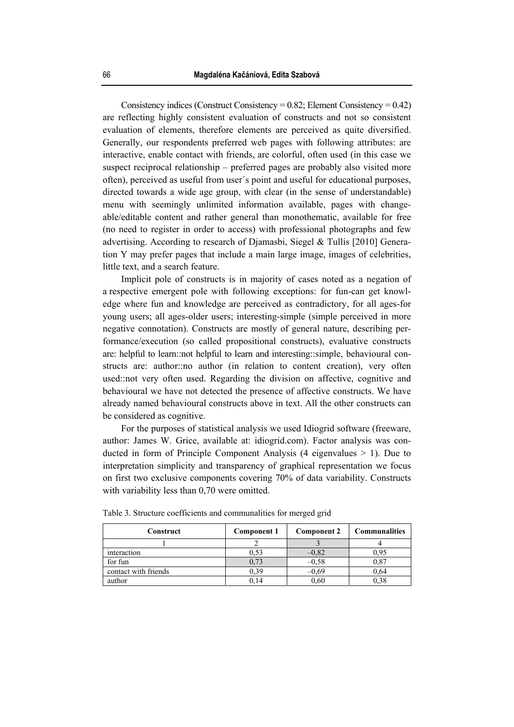Consistency indices (Construct Consistency =  $0.82$ ; Element Consistency =  $0.42$ ) are reflecting highly consistent evaluation of constructs and not so consistent evaluation of elements, therefore elements are perceived as quite diversified. Generally, our respondents preferred web pages with following attributes: are interactive, enable contact with friends, are colorful, often used (in this case we suspect reciprocal relationship – preferred pages are probably also visited more often), perceived as useful from user´s point and useful for educational purposes, directed towards a wide age group, with clear (in the sense of understandable) menu with seemingly unlimited information available, pages with changeable/editable content and rather general than monothematic, available for free (no need to register in order to access) with professional photographs and few advertising. According to research of Djamasbi, Siegel & Tullis [2010] Generation Y may prefer pages that include a main large image, images of celebrities, little text, and a search feature.

Implicit pole of constructs is in majority of cases noted as a negation of a respective emergent pole with following exceptions: for fun-can get knowledge where fun and knowledge are perceived as contradictory, for all ages-for young users; all ages-older users; interesting-simple (simple perceived in more negative connotation). Constructs are mostly of general nature, describing performance/execution (so called propositional constructs), evaluative constructs are: helpful to learn::not helpful to learn and interesting::simple, behavioural constructs are: author::no author (in relation to content creation), very often used::not very often used. Regarding the division on affective, cognitive and behavioural we have not detected the presence of affective constructs. We have already named behavioural constructs above in text. All the other constructs can be considered as cognitive.

For the purposes of statistical analysis we used Idiogrid software (freeware, author: James W. Grice, available at: idiogrid.com). Factor analysis was conducted in form of Principle Component Analysis  $(4 \text{ eigenvalues} > 1)$ . Due to interpretation simplicity and transparency of graphical representation we focus on first two exclusive components covering 70% of data variability. Constructs with variability less than 0,70 were omitted.

| Construct            | Component 1 | <b>Component 2</b> | <b>Communalities</b> |
|----------------------|-------------|--------------------|----------------------|
|                      |             |                    |                      |
| interaction          | 0,53        | $-0,82$            | 0.95                 |
| for fun              | 0.73        | $-0,58$            | 0.87                 |
| contact with friends | 0.39        | $-0.69$            | 0.64                 |
| author               | 0.14        | 0.60               |                      |

Table 3. Structure coefficients and communalities for merged grid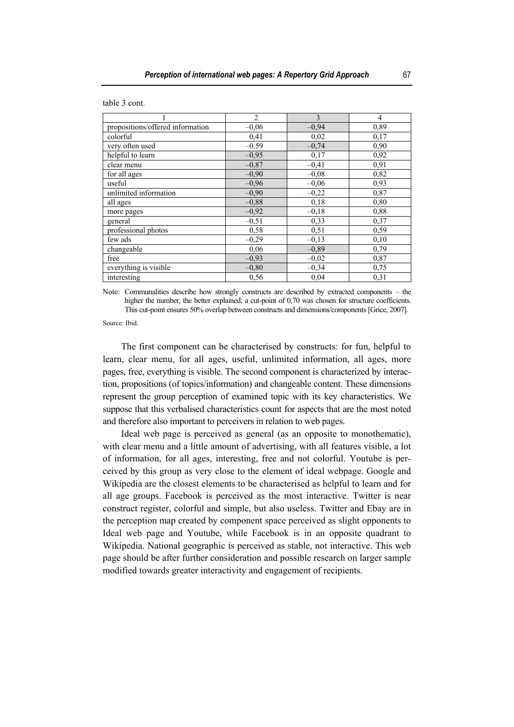|  | table 3 cont. |
|--|---------------|
|  |               |

|                                  | $\overline{2}$ | 3       | 4    |
|----------------------------------|----------------|---------|------|
| propositions/offered information | $-0,06$        | $-0.94$ | 0,89 |
| colorful                         | 0,41           | 0.02    | 0.17 |
| very often used                  | $-0.59$        | $-0.74$ | 0.90 |
| helpful to learn                 | $-0.95$        | 0,17    | 0,92 |
| clear menu                       | $-0.87$        | $-0,41$ | 0,91 |
| for all ages                     | $-0,90$        | $-0,08$ | 0,82 |
| useful                           | $-0,96$        | $-0,06$ | 0,93 |
| unlimited information            | $-0,90$        | $-0,22$ | 0,87 |
| all ages                         | $-0,88$        | 0,18    | 0,80 |
| more pages                       | $-0,92$        | $-0,18$ | 0,88 |
| general                          | $-0,51$        | 0,33    | 0,37 |
| professional photos              | 0,58           | 0,51    | 0.59 |
| few ads                          | $-0,29$        | $-0,13$ | 0,10 |
| changeable                       | 0,06           | $-0,89$ | 0,79 |
| free                             | $-0,93$        | $-0,02$ | 0,87 |
| everything is visible            | $-0,80$        | $-0,34$ | 0,75 |
| interesting                      | 0.56           | 0,04    | 0.31 |

Note: Communalities describe how strongly constructs are described by extracted components – the higher the number, the better explained; a cut-point of 0.70 was chosen for structure coefficients. This cut-point ensures 50% overlap between constructs and dimensions/components [Grice, 2007].

Source: Ibid.

The first component can be characterised by constructs: for fun, helpful to learn, clear menu, for all ages, useful, unlimited information, all ages, more pages, free, everything is visible. The second component is characterized by interaction, propositions (of topics/information) and changeable content. These dimensions represent the group perception of examined topic with its key characteristics. We suppose that this verbalised characteristics count for aspects that are the most noted and therefore also important to perceivers in relation to web pages.

Ideal web page is perceived as general (as an opposite to monothematic), with clear menu and a little amount of advertising, with all features visible, a lot of information, for all ages, interesting, free and not colorful. Youtube is perceived by this group as very close to the element of ideal webpage. Google and Wikipedia are the closest elements to be characterised as helpful to learn and for all age groups. Facebook is perceived as the most interactive. Twitter is near construct register, colorful and simple, but also useless. Twitter and Ebay are in the perception map created by component space perceived as slight opponents to Ideal web page and Youtube, while Facebook is in an opposite quadrant to Wikipedia. National geographic is perceived as stable, not interactive. This web page should be after further consideration and possible research on larger sample modified towards greater interactivity and engagement of recipients.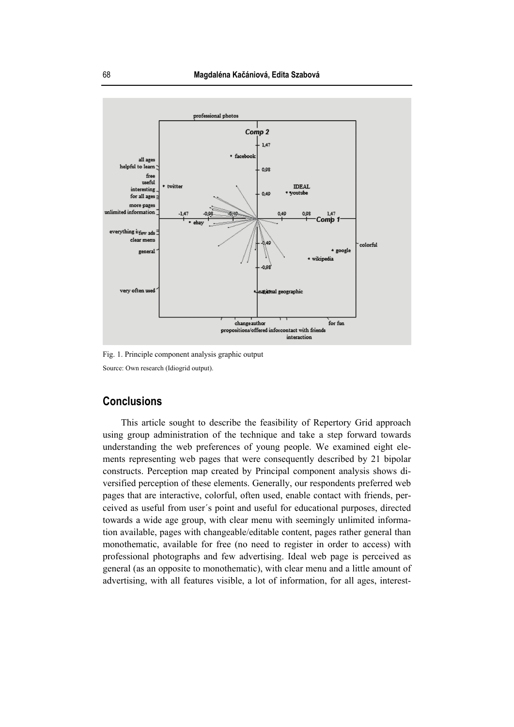

Fig. 1. Principle component analysis graphic output Source: Own research (Idiogrid output).

### **Conclusions**

This article sought to describe the feasibility of Repertory Grid approach using group administration of the technique and take a step forward towards understanding the web preferences of young people. We examined eight elements representing web pages that were consequently described by 21 bipolar constructs. Perception map created by Principal component analysis shows diversified perception of these elements. Generally, our respondents preferred web pages that are interactive, colorful, often used, enable contact with friends, perceived as useful from user´s point and useful for educational purposes, directed towards a wide age group, with clear menu with seemingly unlimited information available, pages with changeable/editable content, pages rather general than monothematic, available for free (no need to register in order to access) with professional photographs and few advertising. Ideal web page is perceived as general (as an opposite to monothematic), with clear menu and a little amount of advertising, with all features visible, a lot of information, for all ages, interest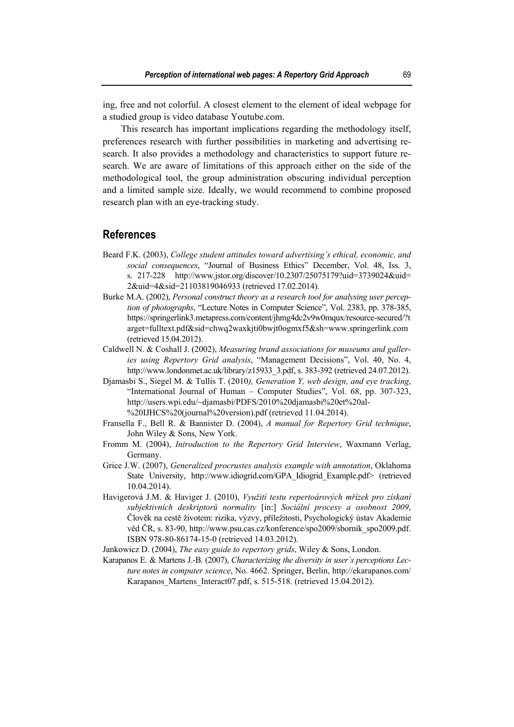ing, free and not colorful. A closest element to the element of ideal webpage for a studied group is video database Youtube.com.

This research has important implications regarding the methodology itself, preferences research with further possibilities in marketing and advertising research. It also provides a methodology and characteristics to support future research. We are aware of limitations of this approach either on the side of the methodological tool, the group administration obscuring individual perception and a limited sample size. Ideally, we would recommend to combine proposed research plan with an eye-tracking study.

#### **References**

- Beard F.K. (2003), *College student attitudes toward advertising's ethical, economic, and social consequences*, "Journal of Business Ethics" December, Vol. 48, Iss. 3, s. 217-228http://www.jstor.org/discover/10.2307/25075179?uid=3739024&uid= 2&uid=4&sid=21103819046933 (retrieved 17.02.2014).
- Burke M.A. (2002), *Personal construct theory as a research tool for analysing user perception of photographs*, "Lecture Notes in Computer Science", Vol. 2383, pp. 378-385, https://springerlink3.metapress.com/content/jhmg4dc2v9w0mqux/resource-secured/?t arget=fulltext.pdf&sid=chwq2waxkjti0bwjt0ogmxf5&sh=www.springerlink.com (retrieved 15.04.2012).
- Caldwell N. & Coshall J. (2002), *Measuring brand associations for museums and galleries using Repertory Grid analysis*, "Management Decisions", Vol. 40, No. 4, http://www.londonmet.ac.uk/library/z15933\_3.pdf, s. 383-392 (retrieved 24.07.2012).
- Djamasbi S., Siegel M. & Tullis T. (2010*), Generation Y, web design, and eye tracking*, "International Journal of Human – Computer Studies", Vol. 68, pp. 307-323, http://users.wpi.edu/~djamasbi/PDFS/2010%20djamasbi%20et%20al- %20IJHCS%20(journal%20version).pdf (retrieved 11.04.2014).
- Fransella F., Bell R. & Bannister D. (2004), *A manual for Repertory Grid technique*, John Wiley & Sons, New York.
- Fromm M. (2004), *Introduction to the Repertory Grid Interview*, Waxmann Verlag, Germany.
- Grice J.W. (2007), *Generalized procrustes analysis example with annotation*, Oklahoma State University, http://www.idiogrid.com/GPA\_Idiogrid\_Example.pdf> (retrieved 10.04.2014).
- Havigerová J.M. & Haviger J. (2010), *Využití testu repertoárových mřízek pro získaní subjektivních deskriptorů normality* [in:] *Sociální procesy a osobnost 2009*, Člověk na cestě životem: rizika, výzvy, příležitosti, Psychologický ústav Akademie věd ČR, s. 83-90, http://www.psu.cas.cz/konference/spo2009/sbornik\_spo2009.pdf. ISBN 978-80-86174-15-0 (retrieved 14.03.2012).
- Jankowicz D. (2004), *The easy guide to repertory grids*, Wiley & Sons, London.
- Karapanos E. & Martens J.-B. (2007), *Characterizing the diversity in user´s perceptions Lecture notes in computer science*, No. 4662. Springer, Berlin, http://ekarapanos.com/ Karapanos Martens Interact07.pdf, s. 515-518. (retrieved 15.04.2012).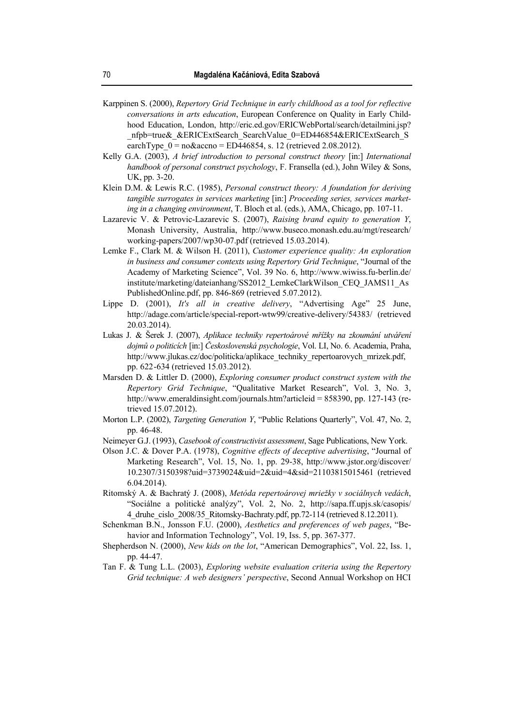- Karppinen S. (2000), *Repertory Grid Technique in early childhood as a tool for reflective conversations in arts education*, European Conference on Quality in Early Childhood Education, London, http://eric.ed.gov/ERICWebPortal/search/detailmini.jsp? nfpb=true& &ERICExtSearch\_SearchValue\_0=ED446854&ERICExtSearch\_S earchType  $0 = n_0 \& \text{accho} = ED446854$ , s. 12 (retrieved 2.08.2012).
- Kelly G.A. (2003), *A brief introduction to personal construct theory* [in:] *International handbook of personal construct psychology*, F. Fransella (ed.), John Wiley & Sons, UK, pp. 3-20.
- Klein D.M. & Lewis R.C. (1985), *Personal construct theory: A foundation for deriving tangible surrogates in services marketing* [in:] *Proceeding series, services marketing in a changing environment*, T. Bloch et al. (eds.), AMA, Chicago, pp. 107-11.
- Lazarevic V. & Petrovic-Lazarevic S. (2007), *Raising brand equity to generation Y*, Monash University, Australia, http://www.buseco.monash.edu.au/mgt/research/ working-papers/2007/wp30-07.pdf (retrieved 15.03.2014).
- Lemke F., Clark M. & Wilson H. (2011), *Customer experience quality: An exploration in business and consumer contexts using Repertory Grid Technique*, "Journal of the Academy of Marketing Science", Vol. 39 No. 6, http://www.wiwiss.fu-berlin.de/ institute/marketing/dateianhang/SS2012\_LemkeClarkWilson\_CEQ\_JAMS11\_As PublishedOnline.pdf, pp. 846-869 (retrieved 5.07.2012).
- Lippe D. (2001), *It's all in creative delivery*, "Advertising Age" 25 June, http://adage.com/article/special-report-wtw99/creative-delivery/54383/ (retrieved 20.03.2014).
- Lukas J. & Šerek J. (2007), *Aplikace techniky repertoárové mřížky na zkoumání utváření dojmů o politicích* [in:] *Československá psychologie*, Vol. LI, No. 6. Academia, Praha, http://www.jlukas.cz/doc/politicka/aplikace\_techniky\_repertoarovych\_mrizek.pdf, pp. 622-634 (retrieved 15.03.2012).
- Marsden D. & Littler D. (2000), *Exploring consumer product construct system with the Repertory Grid Technique*, "Qualitative Market Research", Vol. 3, No. 3, http://www.emeraldinsight.com/journals.htm?articleid = 858390, pp. 127-143 (retrieved 15.07.2012).
- Morton L.P. (2002), *Targeting Generation Y*, "Public Relations Quarterly", Vol. 47, No. 2, pp. 46-48.
- Neimeyer G.J. (1993), *Casebook of constructivist assessment*, Sage Publications, New York.
- Olson J.C. & Dover P.A. (1978), *Cognitive effects of deceptive advertising*, "Journal of Marketing Research", Vol. 15, No. 1, pp. 29-38, http://www.jstor.org/discover/ 10.2307/3150398?uid=3739024&uid=2&uid=4&sid=21103815015461 (retrieved 6.04.2014).
- Ritomský A. & Bachratý J. (2008), *Metóda repertoárovej mriežky v sociálnych vedách*, "Sociálne a politické analýzy", Vol. 2, No. 2, http://sapa.ff.upjs.sk/casopis/ 4\_druhe\_cislo\_2008/35\_Ritomsky-Bachraty.pdf, pp.72-114 (retrieved 8.12.2011).
- Schenkman B.N., Jonsson F.U. (2000), *Aesthetics and preferences of web pages*, "Behavior and Information Technology", Vol. 19, Iss. 5, pp. 367-377.
- Shepherdson N. (2000), *New kids on the lot*, "American Demographics", Vol. 22, Iss. 1, pp. 44-47.
- Tan F. & Tung L.L. (2003), *Exploring website evaluation criteria using the Repertory Grid technique: A web designers' perspective*, Second Annual Workshop on HCI